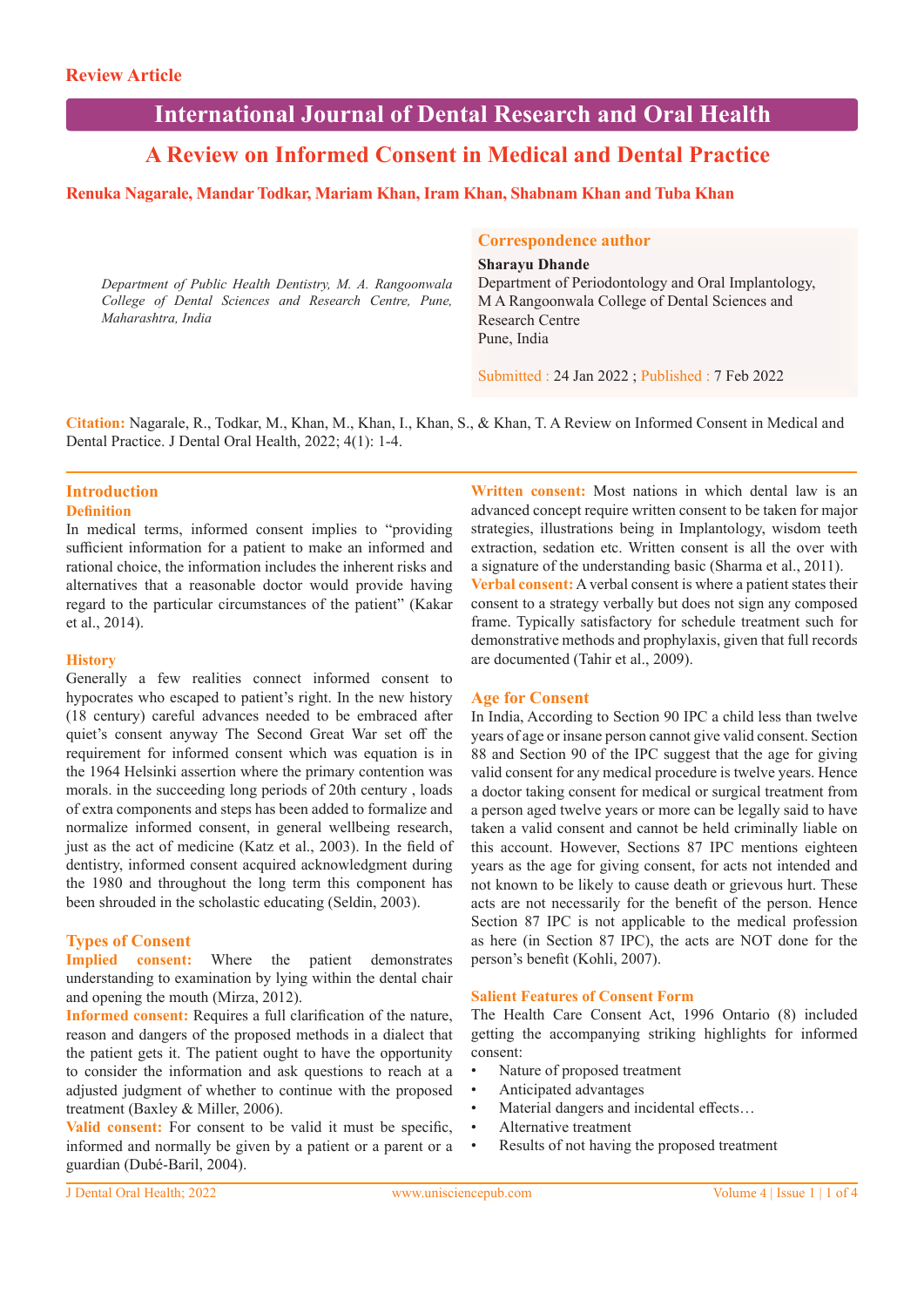# **International Journal of Dental Research and Oral Health**

# **A Review on Informed Consent in Medical and Dental Practice**

# **Renuka Nagarale, Mandar Todkar, Mariam Khan, Iram Khan, Shabnam Khan and Tuba Khan**

*Department of Public Health Dentistry, M. A. Rangoonwala College of Dental Sciences and Research Centre, Pune, Maharashtra, India*

### **Correspondence author**

**Sharayu Dhande**

Department of Periodontology and Oral Implantology, M A Rangoonwala College of Dental Sciences and Research Centre Pune, India

Submitted : 24 Jan 2022 ; Published : 7 Feb 2022

**Citation:** Nagarale, R., Todkar, M., Khan, M., Khan, I., Khan, S., & Khan, T. A Review on Informed Consent in Medical and Dental Practice. J Dental Oral Health, 2022; 4(1): 1-4.

#### **Introduction Definition**

In medical terms, informed consent implies to "providing sufficient information for a patient to make an informed and rational choice, the information includes the inherent risks and alternatives that a reasonable doctor would provide having regard to the particular circumstances of the patient" (Kakar et al., 2014).

#### **History**

Generally a few realities connect informed consent to hypocrates who escaped to patient's right. In the new history (18 century) careful advances needed to be embraced after quiet's consent anyway The Second Great War set off the requirement for informed consent which was equation is in the 1964 Helsinki assertion where the primary contention was morals. in the succeeding long periods of 20th century , loads of extra components and steps has been added to formalize and normalize informed consent, in general wellbeing research, just as the act of medicine (Katz et al., 2003). In the field of dentistry, informed consent acquired acknowledgment during the 1980 and throughout the long term this component has been shrouded in the scholastic educating (Seldin, 2003).

# **Types of Consent**

**Implied consent:** Where the patient demonstrates understanding to examination by lying within the dental chair and opening the mouth (Mirza, 2012).

**Informed consent:** Requires a full clarification of the nature, reason and dangers of the proposed methods in a dialect that the patient gets it. The patient ought to have the opportunity to consider the information and ask questions to reach at a adjusted judgment of whether to continue with the proposed treatment (Baxley & Miller, 2006).

**Valid consent:** For consent to be valid it must be specific, informed and normally be given by a patient or a parent or a guardian (Dubé-Baril, 2004).

**Written consent:** Most nations in which dental law is an advanced concept require written consent to be taken for major strategies, illustrations being in Implantology, wisdom teeth extraction, sedation etc. Written consent is all the over with a signature of the understanding basic (Sharma et al., 2011). **Verbal consent:** A verbal consent is where a patient states their consent to a strategy verbally but does not sign any composed frame. Typically satisfactory for schedule treatment such for demonstrative methods and prophylaxis, given that full records are documented (Tahir et al., 2009).

# **Age for Consent**

In India, According to Section 90 IPC a child less than twelve years of age or insane person cannot give valid consent. Section 88 and Section 90 of the IPC suggest that the age for giving valid consent for any medical procedure is twelve years. Hence a doctor taking consent for medical or surgical treatment from a person aged twelve years or more can be legally said to have taken a valid consent and cannot be held criminally liable on this account. However, Sections 87 IPC mentions eighteen years as the age for giving consent, for acts not intended and not known to be likely to cause death or grievous hurt. These acts are not necessarily for the benefit of the person. Hence Section 87 IPC is not applicable to the medical profession as here (in Section 87 IPC), the acts are NOT done for the person's benefit (Kohli, 2007).

#### **Salient Features of Consent Form**

The Health Care Consent Act, 1996 Ontario (8) included getting the accompanying striking highlights for informed consent:

- Nature of proposed treatment
- Anticipated advantages
- Material dangers and incidental effects...
- Alternative treatment
- Results of not having the proposed treatment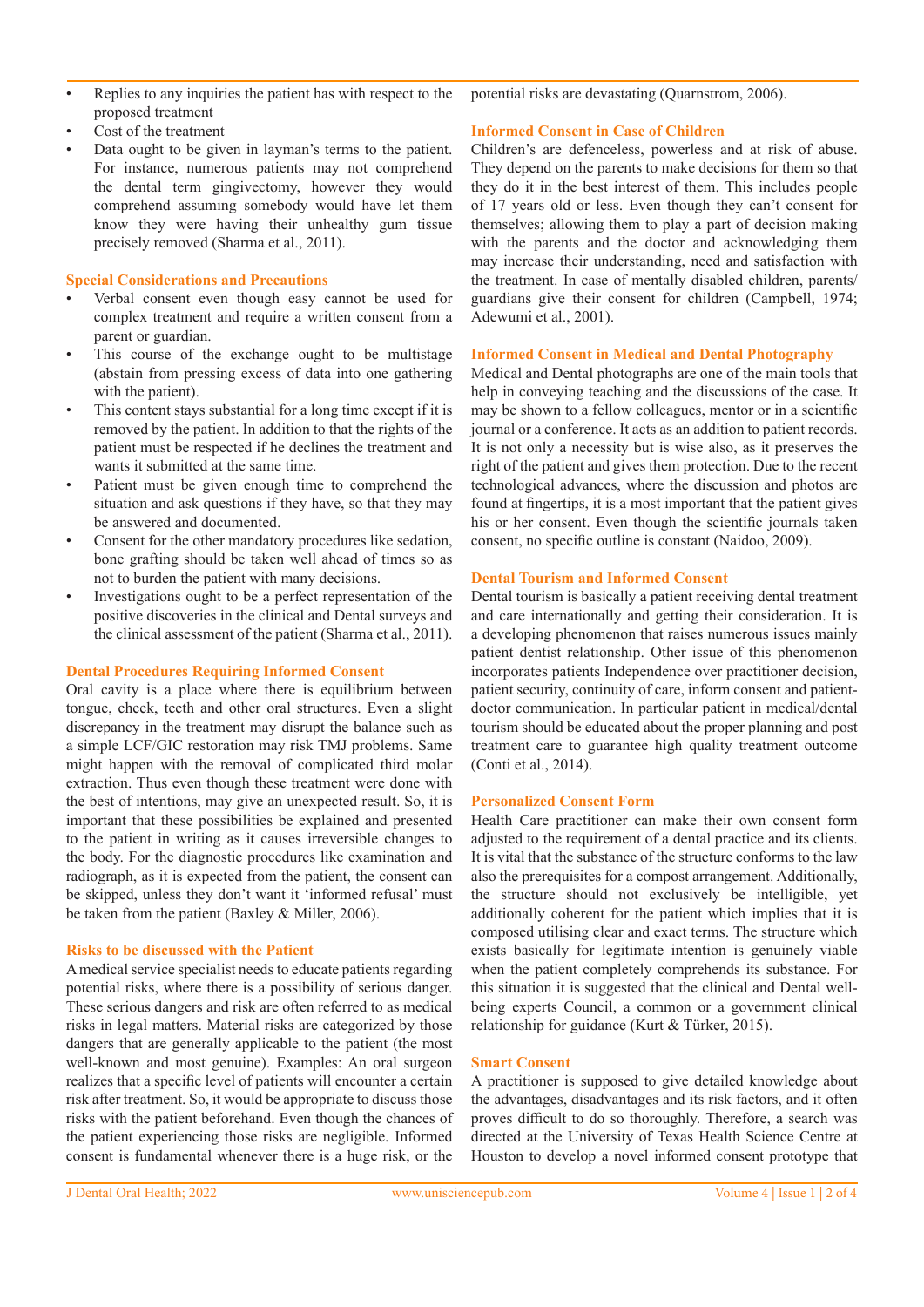- Replies to any inquiries the patient has with respect to the proposed treatment
- Cost of the treatment
- Data ought to be given in layman's terms to the patient. For instance, numerous patients may not comprehend the dental term gingivectomy, however they would comprehend assuming somebody would have let them know they were having their unhealthy gum tissue precisely removed (Sharma et al., 2011).

# **Special Considerations and Precautions**

- Verbal consent even though easy cannot be used for complex treatment and require a written consent from a parent or guardian.
- This course of the exchange ought to be multistage (abstain from pressing excess of data into one gathering with the patient).
- This content stays substantial for a long time except if it is removed by the patient. In addition to that the rights of the patient must be respected if he declines the treatment and wants it submitted at the same time.
- Patient must be given enough time to comprehend the situation and ask questions if they have, so that they may be answered and documented.
- Consent for the other mandatory procedures like sedation, bone grafting should be taken well ahead of times so as not to burden the patient with many decisions.
- Investigations ought to be a perfect representation of the positive discoveries in the clinical and Dental surveys and the clinical assessment of the patient (Sharma et al., 2011).

# **Dental Procedures Requiring Informed Consent**

Oral cavity is a place where there is equilibrium between tongue, cheek, teeth and other oral structures. Even a slight discrepancy in the treatment may disrupt the balance such as a simple LCF/GIC restoration may risk TMJ problems. Same might happen with the removal of complicated third molar extraction. Thus even though these treatment were done with the best of intentions, may give an unexpected result. So, it is important that these possibilities be explained and presented to the patient in writing as it causes irreversible changes to the body. For the diagnostic procedures like examination and radiograph, as it is expected from the patient, the consent can be skipped, unless they don't want it 'informed refusal' must be taken from the patient (Baxley & Miller, 2006).

#### **Risks to be discussed with the Patient**

A medical service specialist needs to educate patients regarding potential risks, where there is a possibility of serious danger. These serious dangers and risk are often referred to as medical risks in legal matters. Material risks are categorized by those dangers that are generally applicable to the patient (the most well-known and most genuine). Examples: An oral surgeon realizes that a specific level of patients will encounter a certain risk after treatment. So, it would be appropriate to discuss those risks with the patient beforehand. Even though the chances of the patient experiencing those risks are negligible. Informed consent is fundamental whenever there is a huge risk, or the

potential risks are devastating (Quarnstrom, 2006).

# **Informed Consent in Case of Children**

Children's are defenceless, powerless and at risk of abuse. They depend on the parents to make decisions for them so that they do it in the best interest of them. This includes people of 17 years old or less. Even though they can't consent for themselves; allowing them to play a part of decision making with the parents and the doctor and acknowledging them may increase their understanding, need and satisfaction with the treatment. In case of mentally disabled children, parents/ guardians give their consent for children (Campbell, 1974; Adewumi et al., 2001).

#### **Informed Consent in Medical and Dental Photography**

Medical and Dental photographs are one of the main tools that help in conveying teaching and the discussions of the case. It may be shown to a fellow colleagues, mentor or in a scientific journal or a conference. It acts as an addition to patient records. It is not only a necessity but is wise also, as it preserves the right of the patient and gives them protection. Due to the recent technological advances, where the discussion and photos are found at fingertips, it is a most important that the patient gives his or her consent. Even though the scientific journals taken consent, no specific outline is constant (Naidoo, 2009).

#### **Dental Tourism and Informed Consent**

Dental tourism is basically a patient receiving dental treatment and care internationally and getting their consideration. It is a developing phenomenon that raises numerous issues mainly patient dentist relationship. Other issue of this phenomenon incorporates patients Independence over practitioner decision, patient security, continuity of care, inform consent and patientdoctor communication. In particular patient in medical/dental tourism should be educated about the proper planning and post treatment care to guarantee high quality treatment outcome (Conti et al., 2014).

#### **Personalized Consent Form**

Health Care practitioner can make their own consent form adjusted to the requirement of a dental practice and its clients. It is vital that the substance of the structure conforms to the law also the prerequisites for a compost arrangement. Additionally, the structure should not exclusively be intelligible, yet additionally coherent for the patient which implies that it is composed utilising clear and exact terms. The structure which exists basically for legitimate intention is genuinely viable when the patient completely comprehends its substance. For this situation it is suggested that the clinical and Dental wellbeing experts Council, a common or a government clinical relationship for guidance (Kurt & Türker, 2015).

#### **Smart Consent**

A practitioner is supposed to give detailed knowledge about the advantages, disadvantages and its risk factors, and it often proves difficult to do so thoroughly. Therefore, a search was directed at the University of Texas Health Science Centre at Houston to develop a novel informed consent prototype that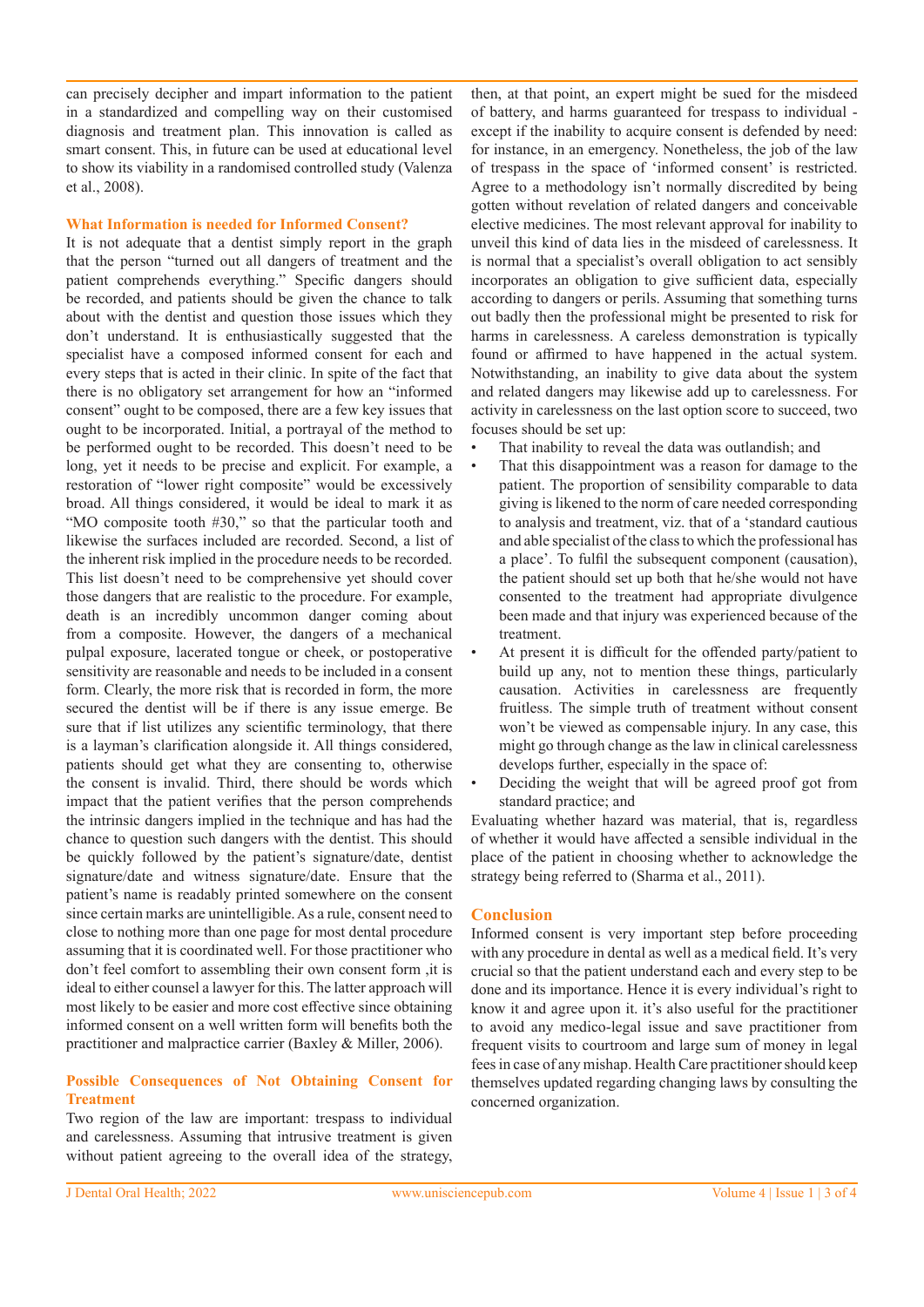can precisely decipher and impart information to the patient in a standardized and compelling way on their customised diagnosis and treatment plan. This innovation is called as smart consent. This, in future can be used at educational level to show its viability in a randomised controlled study (Valenza et al., 2008).

# **What Information is needed for Informed Consent?**

It is not adequate that a dentist simply report in the graph that the person "turned out all dangers of treatment and the patient comprehends everything." Specific dangers should be recorded, and patients should be given the chance to talk about with the dentist and question those issues which they don't understand. It is enthusiastically suggested that the specialist have a composed informed consent for each and every steps that is acted in their clinic. In spite of the fact that there is no obligatory set arrangement for how an "informed consent" ought to be composed, there are a few key issues that ought to be incorporated. Initial, a portrayal of the method to be performed ought to be recorded. This doesn't need to be long, yet it needs to be precise and explicit. For example, a restoration of "lower right composite" would be excessively broad. All things considered, it would be ideal to mark it as "MO composite tooth #30," so that the particular tooth and likewise the surfaces included are recorded. Second, a list of the inherent risk implied in the procedure needs to be recorded. This list doesn't need to be comprehensive yet should cover those dangers that are realistic to the procedure. For example, death is an incredibly uncommon danger coming about from a composite. However, the dangers of a mechanical pulpal exposure, lacerated tongue or cheek, or postoperative sensitivity are reasonable and needs to be included in a consent form. Clearly, the more risk that is recorded in form, the more secured the dentist will be if there is any issue emerge. Be sure that if list utilizes any scientific terminology, that there is a layman's clarification alongside it. All things considered, patients should get what they are consenting to, otherwise the consent is invalid. Third, there should be words which impact that the patient verifies that the person comprehends the intrinsic dangers implied in the technique and has had the chance to question such dangers with the dentist. This should be quickly followed by the patient's signature/date, dentist signature/date and witness signature/date. Ensure that the patient's name is readably printed somewhere on the consent since certain marks are unintelligible. As a rule, consent need to close to nothing more than one page for most dental procedure assuming that it is coordinated well. For those practitioner who don't feel comfort to assembling their own consent form ,it is ideal to either counsel a lawyer for this. The latter approach will most likely to be easier and more cost effective since obtaining informed consent on a well written form will benefits both the practitioner and malpractice carrier (Baxley & Miller, 2006).

#### **Possible Consequences of Not Obtaining Consent for Treatment**

Two region of the law are important: trespass to individual and carelessness. Assuming that intrusive treatment is given without patient agreeing to the overall idea of the strategy,

then, at that point, an expert might be sued for the misdeed of battery, and harms guaranteed for trespass to individual except if the inability to acquire consent is defended by need: for instance, in an emergency. Nonetheless, the job of the law of trespass in the space of 'informed consent' is restricted. Agree to a methodology isn't normally discredited by being gotten without revelation of related dangers and conceivable elective medicines. The most relevant approval for inability to unveil this kind of data lies in the misdeed of carelessness. It is normal that a specialist's overall obligation to act sensibly incorporates an obligation to give sufficient data, especially according to dangers or perils. Assuming that something turns out badly then the professional might be presented to risk for harms in carelessness. A careless demonstration is typically found or affirmed to have happened in the actual system. Notwithstanding, an inability to give data about the system and related dangers may likewise add up to carelessness. For activity in carelessness on the last option score to succeed, two focuses should be set up:

- That inability to reveal the data was outlandish; and
- That this disappointment was a reason for damage to the patient. The proportion of sensibility comparable to data giving is likened to the norm of care needed corresponding to analysis and treatment, viz. that of a 'standard cautious and able specialist of the class to which the professional has a place'. To fulfil the subsequent component (causation), the patient should set up both that he/she would not have consented to the treatment had appropriate divulgence been made and that injury was experienced because of the treatment.
- At present it is difficult for the offended party/patient to build up any, not to mention these things, particularly causation. Activities in carelessness are frequently fruitless. The simple truth of treatment without consent won't be viewed as compensable injury. In any case, this might go through change as the law in clinical carelessness develops further, especially in the space of:
- Deciding the weight that will be agreed proof got from standard practice; and

Evaluating whether hazard was material, that is, regardless of whether it would have affected a sensible individual in the place of the patient in choosing whether to acknowledge the strategy being referred to (Sharma et al., 2011).

# **Conclusion**

Informed consent is very important step before proceeding with any procedure in dental as well as a medical field. It's very crucial so that the patient understand each and every step to be done and its importance. Hence it is every individual's right to know it and agree upon it. it's also useful for the practitioner to avoid any medico-legal issue and save practitioner from frequent visits to courtroom and large sum of money in legal fees in case of any mishap. Health Care practitioner should keep themselves updated regarding changing laws by consulting the concerned organization.